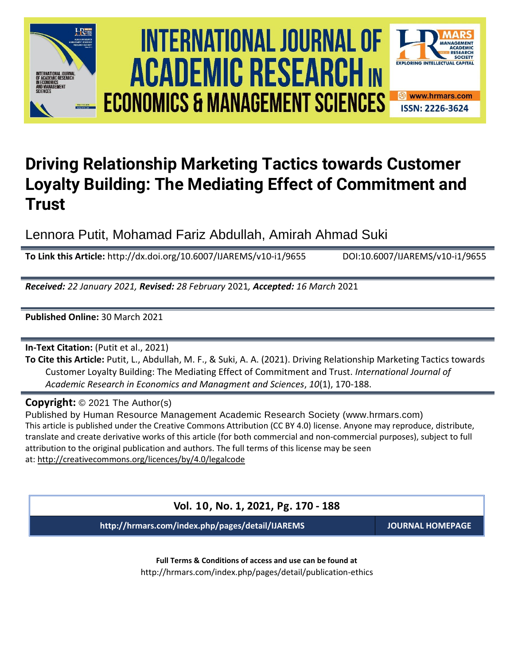





# **Driving Relationship Marketing Tactics towards Customer Loyalty Building: The Mediating Effect of Commitment and Trust**

Lennora Putit, Mohamad Fariz Abdullah, Amirah Ahmad Suki

**To Link this Article:** http://dx.doi.org/10.6007/IJAREMS/v10-i1/9655 DOI:10.6007/IJAREMS/v10-i1/9655

*Received: 22 January 2021, Revised: 28 February* 2021*, Accepted: 16 March* 2021

**Published Online:** 30 March 2021

**In-Text Citation:** (Putit et al., 2021)

**To Cite this Article:** Putit, L., Abdullah, M. F., & Suki, A. A. (2021). Driving Relationship Marketing Tactics towards Customer Loyalty Building: The Mediating Effect of Commitment and Trust. *International Journal of Academic Research in Economics and Managment and Sciences*, *10*(1), 170-188.

**Copyright:** © 2021 The Author(s)

Published by Human Resource Management Academic Research Society (www.hrmars.com) This article is published under the Creative Commons Attribution (CC BY 4.0) license. Anyone may reproduce, distribute, translate and create derivative works of this article (for both commercial and non-commercial purposes), subject to full attribution to the original publication and authors. The full terms of this license may be seen at: <http://creativecommons.org/licences/by/4.0/legalcode>

**Vol. 10, No. 1, 2021, Pg. 170 - 188**

**http://hrmars.com/index.php/pages/detail/IJAREMS JOURNAL HOMEPAGE**

**Full Terms & Conditions of access and use can be found at** http://hrmars.com/index.php/pages/detail/publication-ethics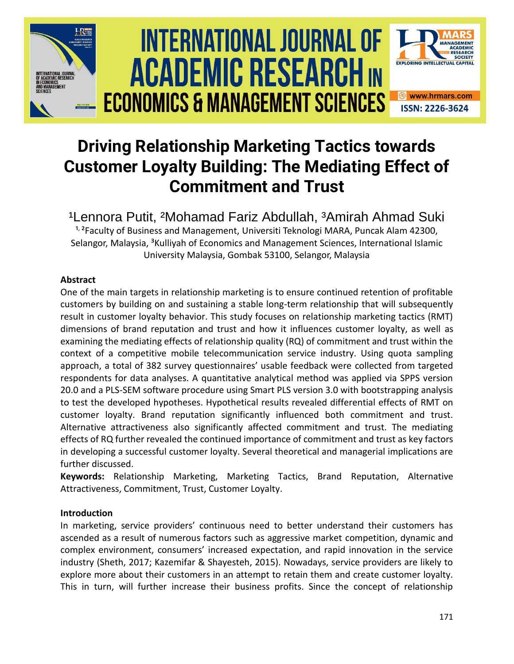

# **Driving Relationship Marketing Tactics towards Customer Loyalty Building: The Mediating Effect of Commitment and Trust**

<sup>1</sup> Lennora Putit, <sup>2</sup> Mohamad Fariz Abdullah, <sup>3</sup> Amirah Ahmad Suki <sup>1, 2</sup>Faculty of Business and Management, Universiti Teknologi MARA, Puncak Alam 42300, Selangor, Malaysia, <sup>3</sup>Kulliyah of Economics and Management Sciences, International Islamic University Malaysia, Gombak 53100, Selangor, Malaysia

## **Abstract**

One of the main targets in relationship marketing is to ensure continued retention of profitable customers by building on and sustaining a stable long-term relationship that will subsequently result in customer loyalty behavior. This study focuses on relationship marketing tactics (RMT) dimensions of brand reputation and trust and how it influences customer loyalty, as well as examining the mediating effects of relationship quality (RQ) of commitment and trust within the context of a competitive mobile telecommunication service industry. Using quota sampling approach, a total of 382 survey questionnaires' usable feedback were collected from targeted respondents for data analyses. A quantitative analytical method was applied via SPPS version 20.0 and a PLS-SEM software procedure using Smart PLS version 3.0 with bootstrapping analysis to test the developed hypotheses. Hypothetical results revealed differential effects of RMT on customer loyalty. Brand reputation significantly influenced both commitment and trust. Alternative attractiveness also significantly affected commitment and trust. The mediating effects of RQ further revealed the continued importance of commitment and trust as key factors in developing a successful customer loyalty. Several theoretical and managerial implications are further discussed.

**Keywords:** Relationship Marketing, Marketing Tactics, Brand Reputation, Alternative Attractiveness, Commitment, Trust, Customer Loyalty.

## **Introduction**

In marketing, service providers' continuous need to better understand their customers has ascended as a result of numerous factors such as aggressive market competition, dynamic and complex environment, consumers' increased expectation, and rapid innovation in the service industry (Sheth, 2017; Kazemifar & Shayesteh, 2015). Nowadays, service providers are likely to explore more about their customers in an attempt to retain them and create customer loyalty. This in turn, will further increase their business profits. Since the concept of relationship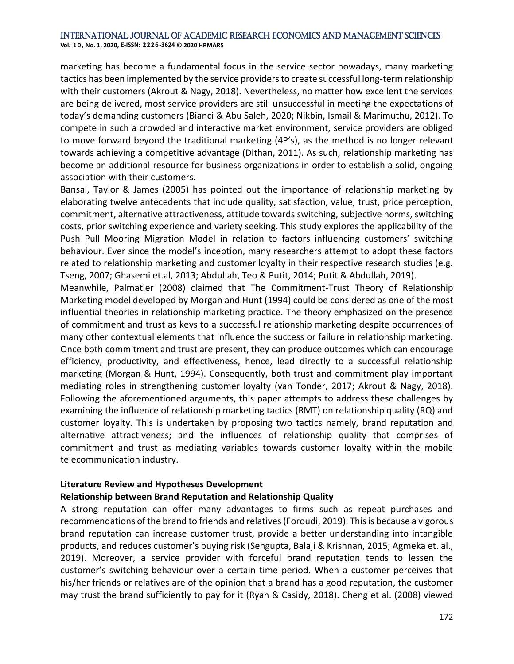**Vol. 1 0 , No. 1, 2020, E-ISSN: 2226-3624 © 2020 HRMARS**

marketing has become a fundamental focus in the service sector nowadays, many marketing tactics has been implemented by the service providers to create successful long-term relationship with their customers (Akrout & Nagy, 2018). Nevertheless, no matter how excellent the services are being delivered, most service providers are still unsuccessful in meeting the expectations of today's demanding customers (Bianci & Abu Saleh, 2020; Nikbin, Ismail & Marimuthu, 2012). To compete in such a crowded and interactive market environment, service providers are obliged to move forward beyond the traditional marketing (4P's), as the method is no longer relevant towards achieving a competitive advantage (Dithan, 2011). As such, relationship marketing has become an additional resource for business organizations in order to establish a solid, ongoing association with their customers.

Bansal, Taylor & James (2005) has pointed out the importance of relationship marketing by elaborating twelve antecedents that include quality, satisfaction, value, trust, price perception, commitment, alternative attractiveness, attitude towards switching, subjective norms, switching costs, prior switching experience and variety seeking. This study explores the applicability of the Push Pull Mooring Migration Model in relation to factors influencing customers' switching behaviour. Ever since the model's inception, many researchers attempt to adopt these factors related to relationship marketing and customer loyalty in their respective research studies (e.g. Tseng, 2007; Ghasemi et.al, 2013; Abdullah, Teo & Putit, 2014; Putit & Abdullah, 2019).

Meanwhile, Palmatier (2008) claimed that The Commitment-Trust Theory of Relationship Marketing model developed by Morgan and Hunt (1994) could be considered as one of the most influential theories in relationship marketing practice. The theory emphasized on the presence of commitment and trust as keys to a successful relationship marketing despite occurrences of many other contextual elements that influence the success or failure in relationship marketing. Once both commitment and trust are present, they can produce outcomes which can encourage efficiency, productivity, and effectiveness, hence, lead directly to a successful relationship marketing (Morgan & Hunt, 1994). Consequently, both trust and commitment play important mediating roles in strengthening customer loyalty (van Tonder, 2017; Akrout & Nagy, 2018). Following the aforementioned arguments, this paper attempts to address these challenges by examining the influence of relationship marketing tactics (RMT) on relationship quality (RQ) and customer loyalty. This is undertaken by proposing two tactics namely, brand reputation and alternative attractiveness; and the influences of relationship quality that comprises of commitment and trust as mediating variables towards customer loyalty within the mobile telecommunication industry.

## **Literature Review and Hypotheses Development**

## **Relationship between Brand Reputation and Relationship Quality**

A strong reputation can offer many advantages to firms such as repeat purchases and recommendations of the brand to friends and relatives (Foroudi, 2019). This is because a vigorous brand reputation can increase customer trust, provide a better understanding into intangible products, and reduces customer's buying risk (Sengupta, Balaji & Krishnan, 2015; Agmeka et. al., 2019). Moreover, a service provider with forceful brand reputation tends to lessen the customer's switching behaviour over a certain time period. When a customer perceives that his/her friends or relatives are of the opinion that a brand has a good reputation, the customer may trust the brand sufficiently to pay for it (Ryan & Casidy, 2018). Cheng et al. (2008) viewed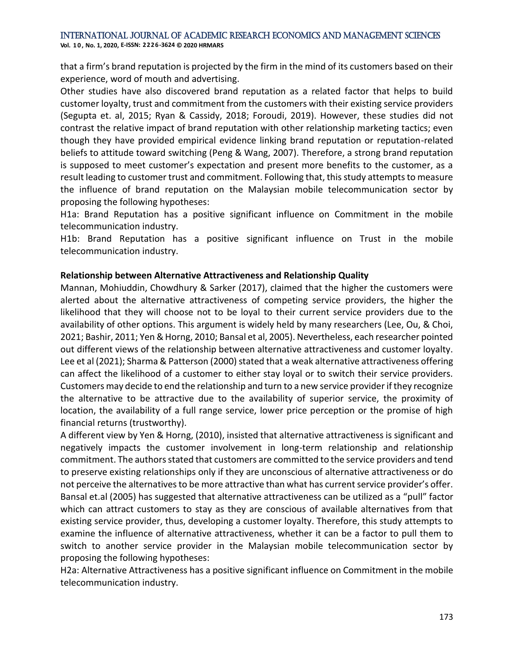**Vol. 1 0 , No. 1, 2020, E-ISSN: 2226-3624 © 2020 HRMARS**

that a firm's brand reputation is projected by the firm in the mind of its customers based on their experience, word of mouth and advertising.

Other studies have also discovered brand reputation as a related factor that helps to build customer loyalty, trust and commitment from the customers with their existing service providers (Segupta et. al, 2015; Ryan & Cassidy, 2018; Foroudi, 2019). However, these studies did not contrast the relative impact of brand reputation with other relationship marketing tactics; even though they have provided empirical evidence linking brand reputation or reputation-related beliefs to attitude toward switching (Peng & Wang, 2007). Therefore, a strong brand reputation is supposed to meet customer's expectation and present more benefits to the customer, as a result leading to customer trust and commitment. Following that, this study attempts to measure the influence of brand reputation on the Malaysian mobile telecommunication sector by proposing the following hypotheses:

H1a: Brand Reputation has a positive significant influence on Commitment in the mobile telecommunication industry.

H1b: Brand Reputation has a positive significant influence on Trust in the mobile telecommunication industry.

### **Relationship between Alternative Attractiveness and Relationship Quality**

Mannan, Mohiuddin, Chowdhury & Sarker (2017), claimed that the higher the customers were alerted about the alternative attractiveness of competing service providers, the higher the likelihood that they will choose not to be loyal to their current service providers due to the availability of other options. This argument is widely held by many researchers (Lee, Ou, & Choi, 2021; Bashir, 2011; Yen & Horng, 2010; Bansal et al, 2005). Nevertheless, each researcher pointed out different views of the relationship between alternative attractiveness and customer loyalty. Lee et al (2021); Sharma & Patterson (2000) stated that a weak alternative attractiveness offering can affect the likelihood of a customer to either stay loyal or to switch their service providers. Customers may decide to end the relationship and turn to a new service provider if they recognize the alternative to be attractive due to the availability of superior service, the proximity of location, the availability of a full range service, lower price perception or the promise of high financial returns (trustworthy).

A different view by Yen & Horng, (2010), insisted that alternative attractiveness is significant and negatively impacts the customer involvement in long-term relationship and relationship commitment. The authors stated that customers are committed to the service providers and tend to preserve existing relationships only if they are unconscious of alternative attractiveness or do not perceive the alternatives to be more attractive than what has current service provider's offer. Bansal et.al (2005) has suggested that alternative attractiveness can be utilized as a "pull" factor which can attract customers to stay as they are conscious of available alternatives from that existing service provider, thus, developing a customer loyalty. Therefore, this study attempts to examine the influence of alternative attractiveness, whether it can be a factor to pull them to switch to another service provider in the Malaysian mobile telecommunication sector by proposing the following hypotheses:

H2a: Alternative Attractiveness has a positive significant influence on Commitment in the mobile telecommunication industry.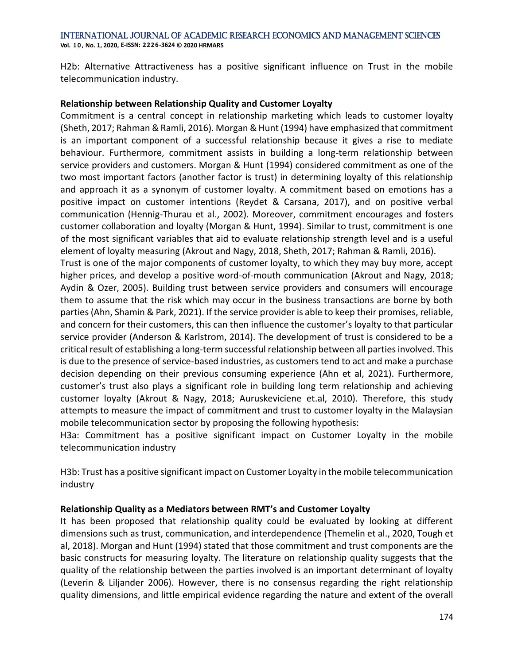**Vol. 1 0 , No. 1, 2020, E-ISSN: 2226-3624 © 2020 HRMARS**

H2b: Alternative Attractiveness has a positive significant influence on Trust in the mobile telecommunication industry.

## **Relationship between Relationship Quality and Customer Loyalty**

Commitment is a central concept in relationship marketing which leads to customer loyalty (Sheth, 2017; Rahman & Ramli, 2016). Morgan & Hunt (1994) have emphasized that commitment is an important component of a successful relationship because it gives a rise to mediate behaviour. Furthermore, commitment assists in building a long-term relationship between service providers and customers. Morgan & Hunt (1994) considered commitment as one of the two most important factors (another factor is trust) in determining loyalty of this relationship and approach it as a synonym of customer loyalty. A commitment based on emotions has a positive impact on customer intentions (Reydet & Carsana, 2017), and on positive verbal communication (Hennig-Thurau et al., 2002). Moreover, commitment encourages and fosters customer collaboration and loyalty (Morgan & Hunt, 1994). Similar to trust, commitment is one of the most significant variables that aid to evaluate relationship strength level and is a useful element of loyalty measuring (Akrout and Nagy, 2018, Sheth, 2017; Rahman & Ramli, 2016).

Trust is one of the major components of customer loyalty, to which they may buy more, accept higher prices, and develop a positive word-of-mouth communication (Akrout and Nagy, 2018; Aydin & Ozer, 2005). Building trust between service providers and consumers will encourage them to assume that the risk which may occur in the business transactions are borne by both parties (Ahn, Shamin & Park, 2021). If the service provider is able to keep their promises, reliable, and concern for their customers, this can then influence the customer's loyalty to that particular service provider (Anderson & Karlstrom, 2014). The development of trust is considered to be a critical result of establishing a long-term successful relationship between all parties involved. This is due to the presence of service-based industries, as customers tend to act and make a purchase decision depending on their previous consuming experience (Ahn et al, 2021). Furthermore, customer's trust also plays a significant role in building long term relationship and achieving customer loyalty (Akrout & Nagy, 2018; Auruskeviciene et.al, 2010). Therefore, this study attempts to measure the impact of commitment and trust to customer loyalty in the Malaysian mobile telecommunication sector by proposing the following hypothesis:

H3a: Commitment has a positive significant impact on Customer Loyalty in the mobile telecommunication industry

H3b: Trust has a positive significant impact on Customer Loyalty in the mobile telecommunication industry

### **Relationship Quality as a Mediators between RMT's and Customer Loyalty**

It has been proposed that relationship quality could be evaluated by looking at different dimensions such as trust, communication, and interdependence (Themelin et al., 2020, Tough et al, 2018). Morgan and Hunt (1994) stated that those commitment and trust components are the basic constructs for measuring loyalty. The literature on relationship quality suggests that the quality of the relationship between the parties involved is an important determinant of loyalty (Leverin & Liljander 2006). However, there is no consensus regarding the right relationship quality dimensions, and little empirical evidence regarding the nature and extent of the overall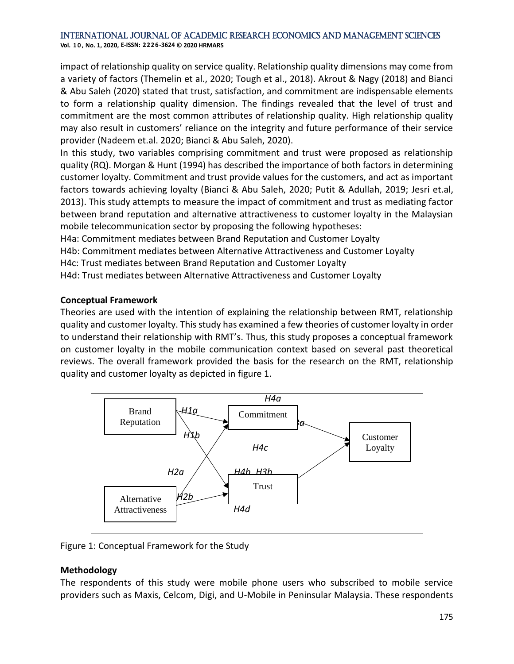impact of relationship quality on service quality. Relationship quality dimensions may come from a variety of factors (Themelin et al., 2020; Tough et al., 2018). Akrout & Nagy (2018) and Bianci & Abu Saleh (2020) stated that trust, satisfaction, and commitment are indispensable elements to form a relationship quality dimension. The findings revealed that the level of trust and commitment are the most common attributes of relationship quality. High relationship quality may also result in customers' reliance on the integrity and future performance of their service provider (Nadeem et.al. 2020; Bianci & Abu Saleh, 2020).

In this study, two variables comprising commitment and trust were proposed as relationship quality (RQ). Morgan & Hunt (1994) has described the importance of both factors in determining customer loyalty. Commitment and trust provide values for the customers, and act as important factors towards achieving loyalty (Bianci & Abu Saleh, 2020; Putit & Adullah, 2019; Jesri et.al, 2013). This study attempts to measure the impact of commitment and trust as mediating factor between brand reputation and alternative attractiveness to customer loyalty in the Malaysian mobile telecommunication sector by proposing the following hypotheses:

H4a: Commitment mediates between Brand Reputation and Customer Loyalty

H4b: Commitment mediates between Alternative Attractiveness and Customer Loyalty

H4c: Trust mediates between Brand Reputation and Customer Loyalty

H4d: Trust mediates between Alternative Attractiveness and Customer Loyalty

### **Conceptual Framework**

Theories are used with the intention of explaining the relationship between RMT, relationship quality and customer loyalty. This study has examined a few theories of customer loyalty in order to understand their relationship with RMT's. Thus, this study proposes a conceptual framework on customer loyalty in the mobile communication context based on several past theoretical reviews. The overall framework provided the basis for the research on the RMT, relationship quality and customer loyalty as depicted in figure 1.



Figure 1: Conceptual Framework for the Study

### **Methodology**

The respondents of this study were mobile phone users who subscribed to mobile service providers such as Maxis, Celcom, Digi, and U-Mobile in Peninsular Malaysia. These respondents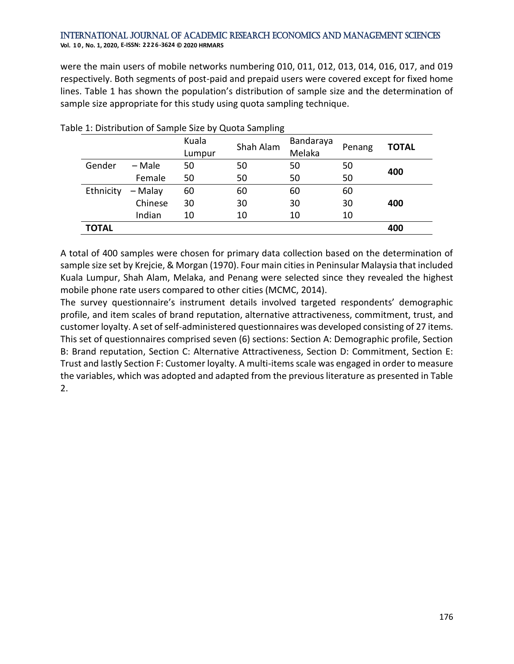were the main users of mobile networks numbering 010, 011, 012, 013, 014, 016, 017, and 019 respectively. Both segments of post-paid and prepaid users were covered except for fixed home lines. Table 1 has shown the population's distribution of sample size and the determination of sample size appropriate for this study using quota sampling technique.

|              |          | Kuala<br>Lumpur | Shah Alam | Bandaraya<br>Melaka | Penang | <b>TOTAL</b> |
|--------------|----------|-----------------|-----------|---------------------|--------|--------------|
| Gender       | $-$ Male | 50              | 50        | 50                  | 50     | 400          |
|              | Female   | 50              | 50        | 50                  | 50     |              |
| Ethnicity    | – Malay  | 60              | 60        | 60                  | 60     |              |
|              | Chinese  | 30              | 30        | 30                  | 30     | 400          |
|              | Indian   | 10              | 10        | 10                  | 10     |              |
| <b>TOTAL</b> |          |                 |           |                     |        | 400          |

### Table 1: Distribution of Sample Size by Quota Sampling

A total of 400 samples were chosen for primary data collection based on the determination of sample size set by Krejcie, & Morgan (1970). Four main cities in Peninsular Malaysia that included Kuala Lumpur, Shah Alam, Melaka, and Penang were selected since they revealed the highest mobile phone rate users compared to other cities (MCMC, 2014).

The survey questionnaire's instrument details involved targeted respondents' demographic profile, and item scales of brand reputation, alternative attractiveness, commitment, trust, and customer loyalty. A set of self-administered questionnaires was developed consisting of 27 items. This set of questionnaires comprised seven (6) sections: Section A: Demographic profile, Section B: Brand reputation, Section C: Alternative Attractiveness, Section D: Commitment, Section E: Trust and lastly Section F: Customer loyalty. A multi-items scale was engaged in order to measure the variables, which was adopted and adapted from the previous literature as presented in Table 2.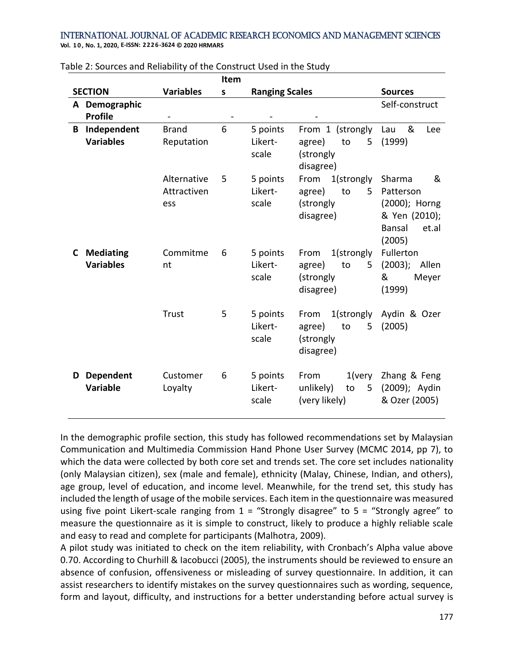**Vol. 1 0 , No. 1, 2020, E-ISSN: 2226-3624 © 2020 HRMARS**

|    |                                      |                                   | Item |                              |                                                                   |                                                                                                |
|----|--------------------------------------|-----------------------------------|------|------------------------------|-------------------------------------------------------------------|------------------------------------------------------------------------------------------------|
|    | <b>SECTION</b>                       | <b>Variables</b>                  | S    | <b>Ranging Scales</b>        |                                                                   | <b>Sources</b>                                                                                 |
|    | A Demographic<br><b>Profile</b>      |                                   |      |                              |                                                                   | Self-construct                                                                                 |
| B  | Independent<br><b>Variables</b>      | <b>Brand</b><br>Reputation        | 6    | 5 points<br>Likert-<br>scale | From 1 (strongly<br>5<br>agree)<br>to<br>(strongly<br>disagree)   | &<br>Lau<br>Lee<br>(1999)                                                                      |
|    |                                      | Alternative<br>Attractiven<br>ess | 5    | 5 points<br>Likert-<br>scale | 1(strongly<br>From<br>to<br>agree)<br>5<br>(strongly<br>disagree) | &<br>Sharma<br>Patterson<br>(2000); Horng<br>& Yen (2010);<br><b>Bansal</b><br>et.al<br>(2005) |
| C. | <b>Mediating</b><br><b>Variables</b> | Commitme<br>nt                    | 6    | 5 points<br>Likert-<br>scale | 1(strongly<br>From<br>agree)<br>to<br>5<br>(strongly<br>disagree) | Fullerton<br>(2003);<br>Allen<br>&<br>Meyer<br>(1999)                                          |
|    |                                      | Trust                             | 5    | 5 points<br>Likert-<br>scale | 1(strongly<br>From<br>agree)<br>to<br>5<br>(strongly<br>disagree) | Aydin & Ozer<br>(2005)                                                                         |
| D  | <b>Dependent</b><br><b>Variable</b>  | Customer<br>Loyalty               | 6    | 5 points<br>Likert-<br>scale | $1$ (very<br>From<br>5<br>unlikely)<br>to<br>(very likely)        | Zhang & Feng<br>(2009); Aydin<br>& Ozer (2005)                                                 |

Table 2: Sources and Reliability of the Construct Used in the Study

In the demographic profile section, this study has followed recommendations set by Malaysian Communication and Multimedia Commission Hand Phone User Survey (MCMC 2014, pp 7), to which the data were collected by both core set and trends set. The core set includes nationality (only Malaysian citizen), sex (male and female), ethnicity (Malay, Chinese, Indian, and others), age group, level of education, and income level. Meanwhile, for the trend set, this study has included the length of usage of the mobile services. Each item in the questionnaire was measured using five point Likert-scale ranging from  $1 =$  "Strongly disagree" to  $5 =$  "Strongly agree" to measure the questionnaire as it is simple to construct, likely to produce a highly reliable scale and easy to read and complete for participants (Malhotra, 2009).

A pilot study was initiated to check on the item reliability, with Cronbach's Alpha value above 0.70. According to Churhill & Iacobucci (2005), the instruments should be reviewed to ensure an absence of confusion, offensiveness or misleading of survey questionnaire. In addition, it can assist researchers to identify mistakes on the survey questionnaires such as wording, sequence, form and layout, difficulty, and instructions for a better understanding before actual survey is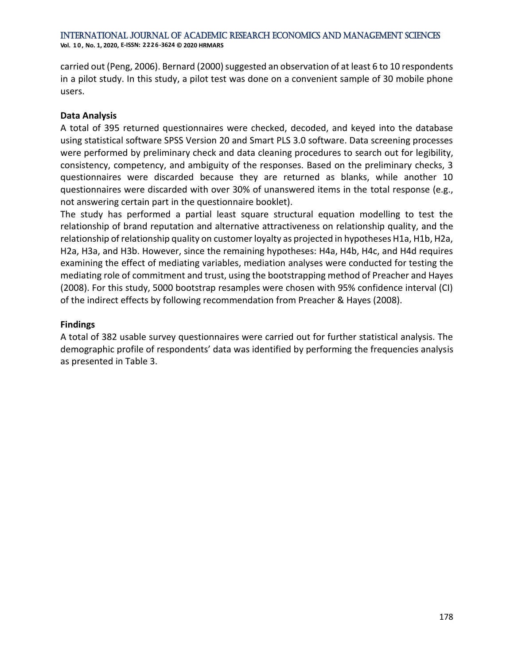carried out (Peng, 2006). Bernard (2000) suggested an observation of at least 6 to 10 respondents in a pilot study. In this study, a pilot test was done on a convenient sample of 30 mobile phone users.

## **Data Analysis**

A total of 395 returned questionnaires were checked, decoded, and keyed into the database using statistical software SPSS Version 20 and Smart PLS 3.0 software. Data screening processes were performed by preliminary check and data cleaning procedures to search out for legibility, consistency, competency, and ambiguity of the responses. Based on the preliminary checks, 3 questionnaires were discarded because they are returned as blanks, while another 10 questionnaires were discarded with over 30% of unanswered items in the total response (e.g., not answering certain part in the questionnaire booklet).

The study has performed a partial least square structural equation modelling to test the relationship of brand reputation and alternative attractiveness on relationship quality, and the relationship of relationship quality on customer loyalty as projected in hypotheses H1a, H1b, H2a, H2a, H3a, and H3b. However, since the remaining hypotheses: H4a, H4b, H4c, and H4d requires examining the effect of mediating variables, mediation analyses were conducted for testing the mediating role of commitment and trust, using the bootstrapping method of Preacher and Hayes (2008). For this study, 5000 bootstrap resamples were chosen with 95% confidence interval (CI) of the indirect effects by following recommendation from Preacher & Hayes (2008).

### **Findings**

A total of 382 usable survey questionnaires were carried out for further statistical analysis. The demographic profile of respondents' data was identified by performing the frequencies analysis as presented in Table 3.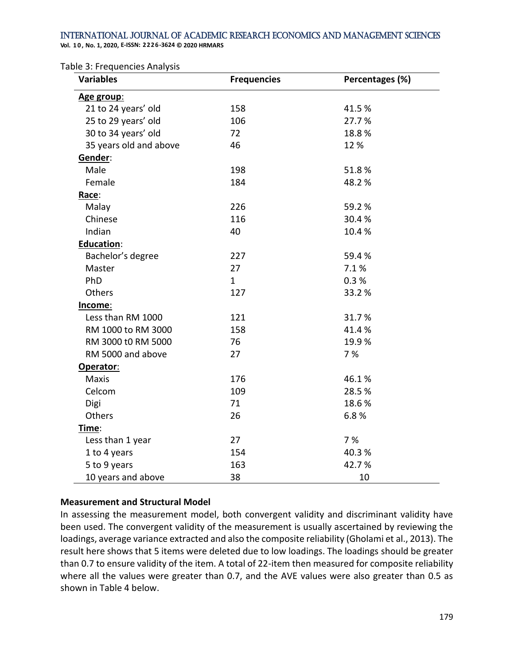**Vol. 1 0 , No. 1, 2020, E-ISSN: 2226-3624 © 2020 HRMARS**

Table 3: Frequencies Analysis

| <b>Variables</b>       | <b>Frequencies</b> | Percentages (%) |
|------------------------|--------------------|-----------------|
| Age group:             |                    |                 |
| 21 to 24 years' old    | 158                | 41.5%           |
| 25 to 29 years' old    | 106                | 27.7%           |
| 30 to 34 years' old    | 72                 | 18.8%           |
| 35 years old and above | 46                 | 12%             |
| Gender:                |                    |                 |
| Male                   | 198                | 51.8%           |
| Female                 | 184                | 48.2%           |
| Race:                  |                    |                 |
| Malay                  | 226                | 59.2%           |
| Chinese                | 116                | 30.4%           |
| Indian                 | 40                 | 10.4%           |
| <b>Education:</b>      |                    |                 |
| Bachelor's degree      | 227                | 59.4%           |
| Master                 | 27                 | 7.1%            |
| PhD                    | $\mathbf{1}$       | 0.3%            |
| Others                 | 127                | 33.2%           |
| Income:                |                    |                 |
| Less than RM 1000      | 121                | 31.7%           |
| RM 1000 to RM 3000     | 158                | 41.4%           |
| RM 3000 t0 RM 5000     | 76                 | 19.9%           |
| RM 5000 and above      | 27                 | 7 %             |
| Operator:              |                    |                 |
| <b>Maxis</b>           | 176                | 46.1%           |
| Celcom                 | 109                | 28.5%           |
| Digi                   | 71                 | 18.6%           |
| Others                 | 26                 | 6.8%            |
| Time:                  |                    |                 |
| Less than 1 year       | 27                 | 7 %             |
| 1 to 4 years           | 154                | 40.3%           |
| 5 to 9 years           | 163                | 42.7%           |
| 10 years and above     | 38                 | 10              |

### **Measurement and Structural Model**

In assessing the measurement model, both convergent validity and discriminant validity have been used. The convergent validity of the measurement is usually ascertained by reviewing the loadings, average variance extracted and also the composite reliability (Gholami et al., 2013). The result here shows that 5 items were deleted due to low loadings. The loadings should be greater than 0.7 to ensure validity of the item. A total of 22-item then measured for composite reliability where all the values were greater than 0.7, and the AVE values were also greater than 0.5 as shown in Table 4 below.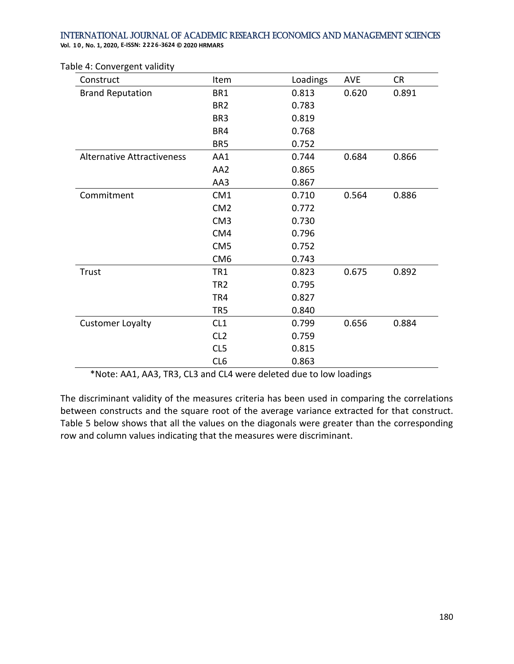**Vol. 1 0 , No. 1, 2020, E-ISSN: 2226-3624 © 2020 HRMARS**

| Construct                         | Item            | Loadings | <b>AVE</b> | <b>CR</b> |
|-----------------------------------|-----------------|----------|------------|-----------|
| <b>Brand Reputation</b>           | BR1             | 0.813    | 0.620      | 0.891     |
|                                   | BR <sub>2</sub> | 0.783    |            |           |
|                                   | BR <sub>3</sub> | 0.819    |            |           |
|                                   | BR4             | 0.768    |            |           |
|                                   | BR <sub>5</sub> | 0.752    |            |           |
| <b>Alternative Attractiveness</b> | AA1             | 0.744    | 0.684      | 0.866     |
|                                   | AA2             | 0.865    |            |           |
|                                   | AA3             | 0.867    |            |           |
| Commitment                        | CM <sub>1</sub> | 0.710    | 0.564      | 0.886     |
|                                   | CM <sub>2</sub> | 0.772    |            |           |
|                                   | CM <sub>3</sub> | 0.730    |            |           |
|                                   | CM4             | 0.796    |            |           |
|                                   | CM <sub>5</sub> | 0.752    |            |           |
|                                   | CM <sub>6</sub> | 0.743    |            |           |
| Trust                             | TR1             | 0.823    | 0.675      | 0.892     |
|                                   | TR <sub>2</sub> | 0.795    |            |           |
|                                   | TR4             | 0.827    |            |           |
|                                   | TR <sub>5</sub> | 0.840    |            |           |
| <b>Customer Loyalty</b>           | CL1             | 0.799    | 0.656      | 0.884     |
|                                   | CL <sub>2</sub> | 0.759    |            |           |
|                                   | CL5             | 0.815    |            |           |
|                                   | CL <sub>6</sub> | 0.863    |            |           |

Table 4: Convergent validity

\*Note: AA1, AA3, TR3, CL3 and CL4 were deleted due to low loadings

The discriminant validity of the measures criteria has been used in comparing the correlations between constructs and the square root of the average variance extracted for that construct. Table 5 below shows that all the values on the diagonals were greater than the corresponding row and column values indicating that the measures were discriminant.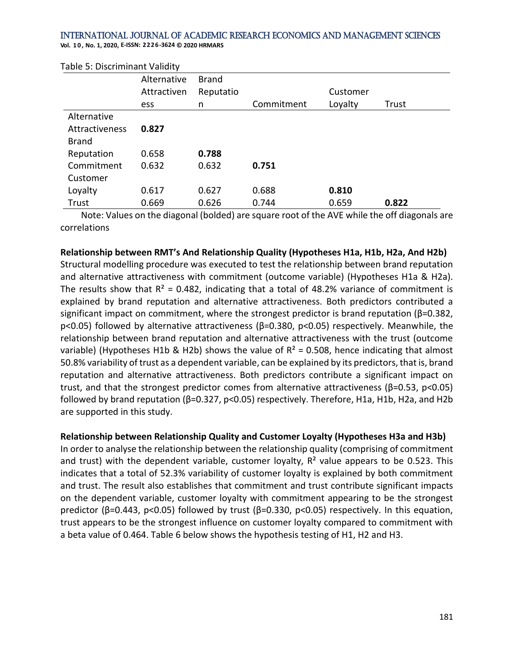**Vol. 1 0 , No. 1, 2020, E-ISSN: 2226-3624 © 2020 HRMARS**

| rapic <i>of Disc</i> riminant valiarly |             |              |            |          |       |
|----------------------------------------|-------------|--------------|------------|----------|-------|
|                                        | Alternative | <b>Brand</b> |            |          |       |
|                                        | Attractiven | Reputatio    |            | Customer |       |
|                                        | ess         | n            | Commitment | Loyalty  | Trust |
| Alternative                            |             |              |            |          |       |
| Attractiveness                         | 0.827       |              |            |          |       |
| <b>Brand</b>                           |             |              |            |          |       |
| Reputation                             | 0.658       | 0.788        |            |          |       |
| Commitment                             | 0.632       | 0.632        | 0.751      |          |       |
| Customer                               |             |              |            |          |       |
| Loyalty                                | 0.617       | 0.627        | 0.688      | 0.810    |       |
| Trust                                  | 0.669       | 0.626        | 0.744      | 0.659    | 0.822 |

Table 5: Discriminant Validity

 Note: Values on the diagonal (bolded) are square root of the AVE while the off diagonals are correlations

#### **Relationship between RMT's And Relationship Quality (Hypotheses H1a, H1b, H2a, And H2b)**

Structural modelling procedure was executed to test the relationship between brand reputation and alternative attractiveness with commitment (outcome variable) (Hypotheses H1a & H2a). The results show that  $R^2 = 0.482$ , indicating that a total of 48.2% variance of commitment is explained by brand reputation and alternative attractiveness. Both predictors contributed a significant impact on commitment, where the strongest predictor is brand reputation ( $\beta$ =0.382, p<0.05) followed by alternative attractiveness (β=0.380, p<0.05) respectively. Meanwhile, the relationship between brand reputation and alternative attractiveness with the trust (outcome variable) (Hypotheses H1b & H2b) shows the value of  $R^2 = 0.508$ , hence indicating that almost 50.8% variability of trust as a dependent variable, can be explained by its predictors, that is, brand reputation and alternative attractiveness. Both predictors contribute a significant impact on trust, and that the strongest predictor comes from alternative attractiveness (β=0.53, p<0.05) followed by brand reputation (β=0.327, p<0.05) respectively. Therefore, H1a, H1b, H2a, and H2b are supported in this study.

#### **Relationship between Relationship Quality and Customer Loyalty (Hypotheses H3a and H3b)**

In order to analyse the relationship between the relationship quality (comprising of commitment and trust) with the dependent variable, customer loyalty,  $R^2$  value appears to be 0.523. This indicates that a total of 52.3% variability of customer loyalty is explained by both commitment and trust. The result also establishes that commitment and trust contribute significant impacts on the dependent variable, customer loyalty with commitment appearing to be the strongest predictor (β=0.443, p<0.05) followed by trust (β=0.330, p<0.05) respectively. In this equation, trust appears to be the strongest influence on customer loyalty compared to commitment with a beta value of 0.464. Table 6 below shows the hypothesis testing of H1, H2 and H3.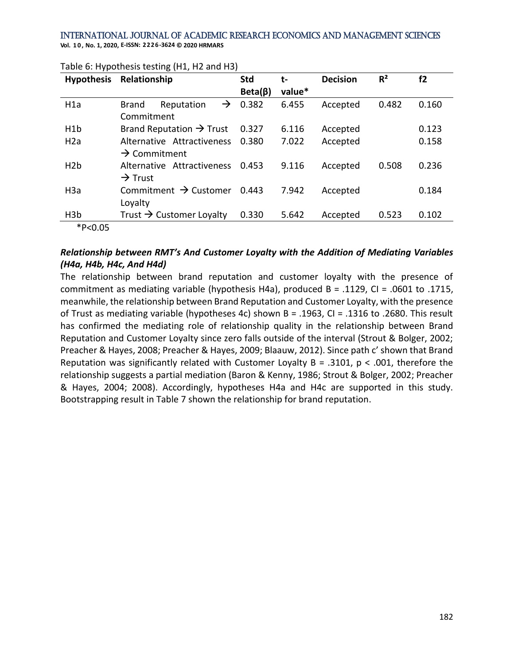**Hypothesis Relationship Std Beta(β) tvalue\* Decision R² f2** H1a Brand Reputation  $\rightarrow$ Commitment 0.382 6.455 Accepted 0.482 0.160 H1b Brand Reputation  $\rightarrow$  Trust 0.327 6.116 Accepted 0.123 H2a Alternative Attractiveness  $\rightarrow$  Commitment 0.380 7.022 Accepted 0.158 H2b Alternative Attractiveness 0.453  $\rightarrow$  Trust 0.453 9.116 Accepted 0.508 0.236 H3a Commitment  $\rightarrow$  Customer 0.443 Loyalty 0.443 7.942 Accepted 0.184 H3b Trust → Customer Loyalty 0.330 5.642 Accepted 0.523 0.102

#### Table 6: Hypothesis testing (H1, H2 and H3)

### \*P<0.05

## *Relationship between RMT's And Customer Loyalty with the Addition of Mediating Variables (H4a, H4b, H4c, And H4d)*

The relationship between brand reputation and customer loyalty with the presence of commitment as mediating variable (hypothesis H4a), produced B = .1129, CI = .0601 to .1715, meanwhile, the relationship between Brand Reputation and Customer Loyalty, with the presence of Trust as mediating variable (hypotheses 4c) shown B = .1963, CI = .1316 to .2680. This result has confirmed the mediating role of relationship quality in the relationship between Brand Reputation and Customer Loyalty since zero falls outside of the interval (Strout & Bolger, 2002; Preacher & Hayes, 2008; Preacher & Hayes, 2009; Blaauw, 2012). Since path c' shown that Brand Reputation was significantly related with Customer Loyalty B = .3101, p < .001, therefore the relationship suggests a partial mediation (Baron & Kenny, 1986; Strout & Bolger, 2002; Preacher & Hayes, 2004; 2008). Accordingly, hypotheses H4a and H4c are supported in this study. Bootstrapping result in Table 7 shown the relationship for brand reputation.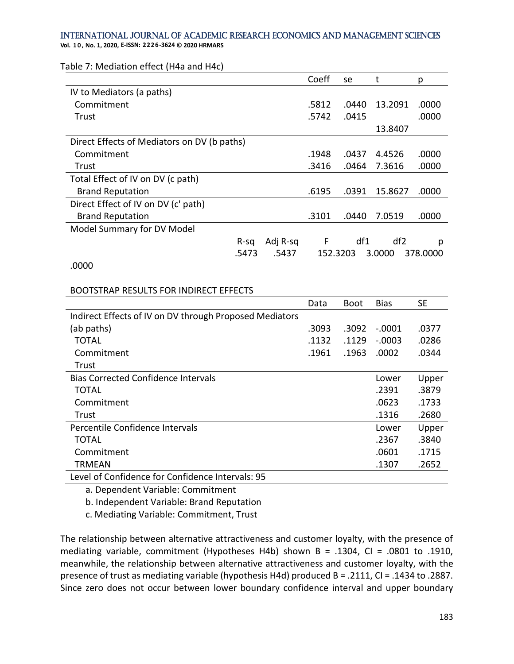**Vol. 1 0 , No. 1, 2020, E-ISSN: 2226-3624 © 2020 HRMARS**

Table 7: Mediation effect (H4a and H4c)

|                                             |       |          | Coeff | se       | t       | р        |
|---------------------------------------------|-------|----------|-------|----------|---------|----------|
| IV to Mediators (a paths)                   |       |          |       |          |         |          |
| Commitment                                  |       |          | .5812 | .0440    | 13.2091 | .0000    |
| Trust                                       |       |          | .5742 | .0415    |         | .0000    |
|                                             |       |          |       |          | 13.8407 |          |
| Direct Effects of Mediators on DV (b paths) |       |          |       |          |         |          |
| Commitment                                  |       |          | .1948 | .0437    | 4.4526  | .0000    |
| Trust                                       |       |          | .3416 | .0464    | 7.3616  | .0000    |
| Total Effect of IV on DV (c path)           |       |          |       |          |         |          |
| <b>Brand Reputation</b>                     |       |          | .6195 | .0391    | 15.8627 | .0000    |
| Direct Effect of IV on DV (c' path)         |       |          |       |          |         |          |
| <b>Brand Reputation</b>                     |       |          | .3101 | .0440    | 7.0519  | .0000    |
| Model Summary for DV Model                  |       |          |       |          |         |          |
|                                             | R-sa  | Adj R-sq | F     | df1      | df2     | р        |
|                                             | .5473 | .5437    |       | 152.3203 | 3.0000  | 378.0000 |
| $- - - -$                                   |       |          |       |          |         |          |

#### .0000

#### BOOTSTRAP RESULTS FOR INDIRECT EFFECTS

|                                                         | Data  | Boot  | Bias     | <b>SE</b> |
|---------------------------------------------------------|-------|-------|----------|-----------|
| Indirect Effects of IV on DV through Proposed Mediators |       |       |          |           |
| (ab paths)                                              | .3093 | .3092 | $-.0001$ | .0377     |
| <b>TOTAL</b>                                            | .1132 | .1129 | $-.0003$ | .0286     |
| Commitment                                              | .1961 | .1963 | .0002    | .0344     |
| Trust                                                   |       |       |          |           |
| <b>Bias Corrected Confidence Intervals</b>              |       |       | Lower    | Upper     |
| <b>TOTAL</b>                                            |       |       | .2391    | .3879     |
| Commitment                                              |       |       | .0623    | .1733     |
| Trust                                                   |       |       | .1316    | .2680     |
| Percentile Confidence Intervals                         |       |       | Lower    | Upper     |
| <b>TOTAL</b>                                            |       |       | .2367    | .3840     |
| Commitment                                              |       |       | .0601    | .1715     |
| <b>TRMEAN</b>                                           |       |       | .1307    | .2652     |
| aval of Confidence for Confidence Intervals: 95         |       |       |          |           |

Level of Confidence for Confidence Intervals: 95

a. Dependent Variable: Commitment

b. Independent Variable: Brand Reputation

c. Mediating Variable: Commitment, Trust

The relationship between alternative attractiveness and customer loyalty, with the presence of mediating variable, commitment (Hypotheses H4b) shown B = .1304, CI = .0801 to .1910, meanwhile, the relationship between alternative attractiveness and customer loyalty, with the presence of trust as mediating variable (hypothesis H4d) produced B = .2111, CI = .1434 to .2887. Since zero does not occur between lower boundary confidence interval and upper boundary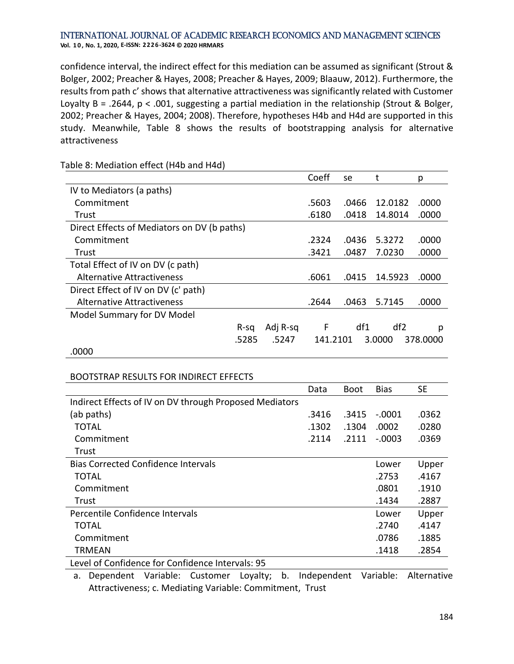confidence interval, the indirect effect for this mediation can be assumed as significant (Strout & Bolger, 2002; Preacher & Hayes, 2008; Preacher & Hayes, 2009; Blaauw, 2012). Furthermore, the results from path c' shows that alternative attractiveness was significantly related with Customer Loyalty B = .2644, p < .001, suggesting a partial mediation in the relationship (Strout & Bolger, 2002; Preacher & Hayes, 2004; 2008). Therefore, hypotheses H4b and H4d are supported in this study. Meanwhile, Table 8 shows the results of bootstrapping analysis for alternative attractiveness

|                                             |       |          | Coeff    | se    |                 | р        |
|---------------------------------------------|-------|----------|----------|-------|-----------------|----------|
| IV to Mediators (a paths)                   |       |          |          |       |                 |          |
| Commitment                                  |       |          | .5603    | .0466 | 12.0182         | .0000    |
| Trust                                       |       |          | .6180    | .0418 | 14.8014         | .0000    |
| Direct Effects of Mediators on DV (b paths) |       |          |          |       |                 |          |
| Commitment                                  |       |          | .2324    | .0436 | 5.3272          | .0000    |
| Trust                                       |       |          | .3421    | .0487 | 7.0230          | .0000    |
| Total Effect of IV on DV (c path)           |       |          |          |       |                 |          |
| Alternative Attractiveness                  |       |          | .6061    | .0415 | 14.5923         | .0000    |
| Direct Effect of IV on DV (c' path)         |       |          |          |       |                 |          |
| Alternative Attractiveness                  |       |          | .2644    | .0463 | 5.7145          | .0000    |
| Model Summary for DV Model                  |       |          |          |       |                 |          |
|                                             | R-sa  | Adj R-sq | F        | df1   | df <sub>2</sub> | р        |
|                                             | .5285 | .5247    | 141.2101 |       | 3.0000          | 378.0000 |
| .0000                                       |       |          |          |       |                 |          |

Table 8: Mediation effect (H4b and H4d)

### BOOTSTRAP RESULTS FOR INDIRECT EFFECTS

|                                                         | Data  | Boot  | <b>Bias</b> | <b>SE</b> |
|---------------------------------------------------------|-------|-------|-------------|-----------|
| Indirect Effects of IV on DV through Proposed Mediators |       |       |             |           |
| (ab paths)                                              | .3416 | .3415 | $-.0001$    | .0362     |
| TOTAL                                                   | .1302 | .1304 | .0002       | .0280     |
| Commitment                                              | .2114 | .2111 | $-.0003$    | .0369     |
| Trust                                                   |       |       |             |           |
| <b>Bias Corrected Confidence Intervals</b>              |       |       | Lower       | Upper     |
| TOTAL                                                   |       |       | .2753       | .4167     |
| Commitment                                              |       |       | .0801       | .1910     |
| Trust                                                   |       |       | .1434       | .2887     |
| Percentile Confidence Intervals                         |       |       | Lower       | Upper     |
| TOTAL                                                   |       |       | .2740       | .4147     |
| Commitment                                              |       |       | .0786       | .1885     |
| <b>TRMEAN</b>                                           |       |       | .1418       | .2854     |
| Level of Confidence for Confidence Intervals: 95        |       |       |             |           |

a. Dependent Variable: Customer Loyalty; b. Independent Variable: Alternative Attractiveness; c. Mediating Variable: Commitment, Trust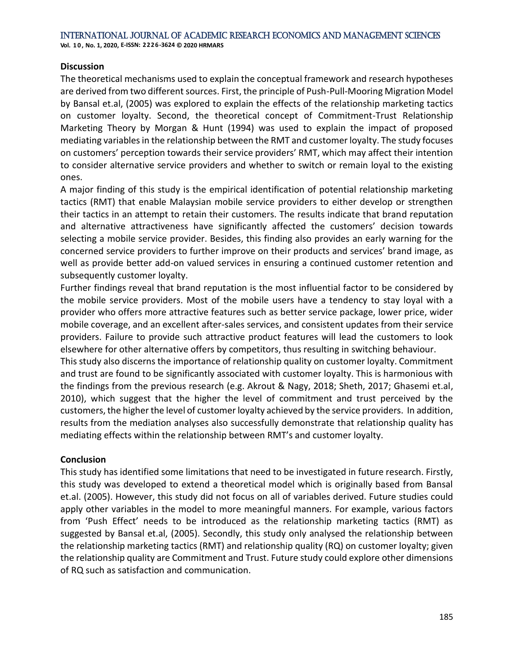## **Discussion**

The theoretical mechanisms used to explain the conceptual framework and research hypotheses are derived from two different sources. First, the principle of Push-Pull-Mooring Migration Model by Bansal et.al, (2005) was explored to explain the effects of the relationship marketing tactics on customer loyalty. Second, the theoretical concept of Commitment-Trust Relationship Marketing Theory by Morgan & Hunt (1994) was used to explain the impact of proposed mediating variables in the relationship between the RMT and customer loyalty. The study focuses on customers' perception towards their service providers' RMT, which may affect their intention to consider alternative service providers and whether to switch or remain loyal to the existing ones.

A major finding of this study is the empirical identification of potential relationship marketing tactics (RMT) that enable Malaysian mobile service providers to either develop or strengthen their tactics in an attempt to retain their customers. The results indicate that brand reputation and alternative attractiveness have significantly affected the customers' decision towards selecting a mobile service provider. Besides, this finding also provides an early warning for the concerned service providers to further improve on their products and services' brand image, as well as provide better add-on valued services in ensuring a continued customer retention and subsequently customer loyalty.

Further findings reveal that brand reputation is the most influential factor to be considered by the mobile service providers. Most of the mobile users have a tendency to stay loyal with a provider who offers more attractive features such as better service package, lower price, wider mobile coverage, and an excellent after-sales services, and consistent updates from their service providers. Failure to provide such attractive product features will lead the customers to look elsewhere for other alternative offers by competitors, thus resulting in switching behaviour.

This study also discerns the importance of relationship quality on customer loyalty. Commitment and trust are found to be significantly associated with customer loyalty. This is harmonious with the findings from the previous research (e.g. Akrout & Nagy, 2018; Sheth, 2017; Ghasemi et.al, 2010), which suggest that the higher the level of commitment and trust perceived by the customers, the higher the level of customer loyalty achieved by the service providers. In addition, results from the mediation analyses also successfully demonstrate that relationship quality has mediating effects within the relationship between RMT's and customer loyalty.

### **Conclusion**

This study has identified some limitations that need to be investigated in future research. Firstly, this study was developed to extend a theoretical model which is originally based from Bansal et.al. (2005). However, this study did not focus on all of variables derived. Future studies could apply other variables in the model to more meaningful manners. For example, various factors from 'Push Effect' needs to be introduced as the relationship marketing tactics (RMT) as suggested by Bansal et.al, (2005). Secondly, this study only analysed the relationship between the relationship marketing tactics (RMT) and relationship quality (RQ) on customer loyalty; given the relationship quality are Commitment and Trust. Future study could explore other dimensions of RQ such as satisfaction and communication.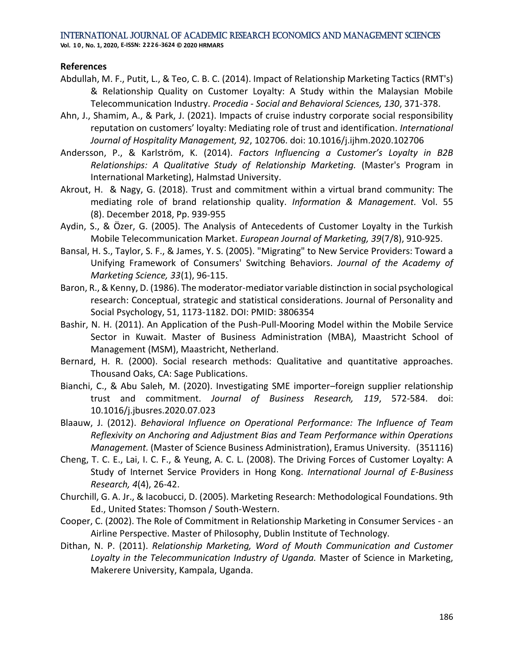### **References**

- Abdullah, M. F., Putit, L., & Teo, C. B. C. (2014). Impact of Relationship Marketing Tactics (RMT's) & Relationship Quality on Customer Loyalty: A Study within the Malaysian Mobile Telecommunication Industry. *Procedia - Social and Behavioral Sciences, 130*, 371-378.
- Ahn, J., Shamim, A., & Park, J. (2021). Impacts of cruise industry corporate social responsibility reputation on customers' loyalty: Mediating role of trust and identification. *International Journal of Hospitality Management, 92*, 102706. doi: 10.1016/j.ijhm.2020.102706
- Andersson, P., & Karlström, K. (2014). *Factors Influencing a Customer's Loyalty in B2B Relationships: A Qualitative Study of Relationship Marketing.* (Master's Program in International Marketing), Halmstad University.
- Akrout, H. & Nagy, G. (2018). Trust and commitment within a virtual brand community: The mediating role of brand relationship quality. *Information & Management.* Vol. 55 (8). December 2018, Pp. 939-955
- Aydin, S., & Özer, G. (2005). The Analysis of Antecedents of Customer Loyalty in the Turkish Mobile Telecommunication Market. *European Journal of Marketing, 39*(7/8), 910-925.
- Bansal, H. S., Taylor, S. F., & James, Y. S. (2005). "Migrating" to New Service Providers: Toward a Unifying Framework of Consumers' Switching Behaviors. *Journal of the Academy of Marketing Science, 33*(1), 96-115.
- Baron, R., & Kenny, D. (1986). The moderator-mediator variable distinction in social psychological research: Conceptual, strategic and statistical considerations. Journal of Personality and Social Psychology, 51, 1173-1182. DOI: PMID: 3806354
- Bashir, N. H. (2011). An Application of the Push-Pull-Mooring Model within the Mobile Service Sector in Kuwait. Master of Business Administration (MBA), Maastricht School of Management (MSM), Maastricht, Netherland.
- Bernard, H. R. (2000). Social research methods: Qualitative and quantitative approaches. Thousand Oaks, CA: Sage Publications.
- Bianchi, C., & Abu Saleh, M. (2020). Investigating SME importer–foreign supplier relationship trust and commitment. *Journal of Business Research, 119*, 572-584. doi: 10.1016/j.jbusres.2020.07.023
- Blaauw, J. (2012). *Behavioral Influence on Operational Performance: The Influence of Team Reflexivity on Anchoring and Adjustment Bias and Team Performance within Operations Management.* (Master of Science Business Administration), Eramus University. (351116)
- Cheng, T. C. E., Lai, I. C. F., & Yeung, A. C. L. (2008). The Driving Forces of Customer Loyalty: A Study of Internet Service Providers in Hong Kong. *International Journal of E-Business Research, 4*(4), 26-42.
- Churchill, G. A. Jr., & Iacobucci, D. (2005). Marketing Research: Methodological Foundations. 9th Ed., United States: Thomson / South-Western.
- Cooper, C. (2002). The Role of Commitment in Relationship Marketing in Consumer Services an Airline Perspective. Master of Philosophy, Dublin Institute of Technology.
- Dithan, N. P. (2011). *Relationship Marketing, Word of Mouth Communication and Customer Loyalty in the Telecommunication Industry of Uganda.* Master of Science in Marketing, Makerere University, Kampala, Uganda.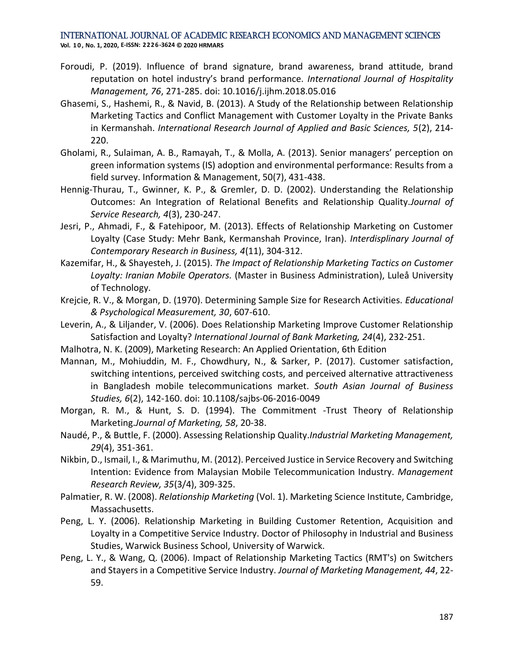- Foroudi, P. (2019). Influence of brand signature, brand awareness, brand attitude, brand reputation on hotel industry's brand performance. *International Journal of Hospitality Management, 76*, 271-285. doi: 10.1016/j.ijhm.2018.05.016
- Ghasemi, S., Hashemi, R., & Navid, B. (2013). A Study of the Relationship between Relationship Marketing Tactics and Conflict Management with Customer Loyalty in the Private Banks in Kermanshah. *International Research Journal of Applied and Basic Sciences, 5*(2), 214- 220.
- Gholami, R., Sulaiman, A. B., Ramayah, T., & Molla, A. (2013). Senior managers' perception on green information systems (IS) adoption and environmental performance: Results from a field survey. Information & Management, 50(7), 431-438.
- Hennig-Thurau, T., Gwinner, K. P., & Gremler, D. D. (2002). Understanding the Relationship Outcomes: An Integration of Relational Benefits and Relationship Quality.*Journal of Service Research, 4*(3), 230-247.
- Jesri, P., Ahmadi, F., & Fatehipoor, M. (2013). Effects of Relationship Marketing on Customer Loyalty (Case Study: Mehr Bank, Kermanshah Province, Iran). *Interdisplinary Journal of Contemporary Research in Business, 4*(11), 304-312.
- Kazemifar, H., & Shayesteh, J. (2015). *The Impact of Relationship Marketing Tactics on Customer Loyalty: Iranian Mobile Operators.* (Master in Business Administration), Luleå University of Technology.
- Krejcie, R. V., & Morgan, D. (1970). Determining Sample Size for Research Activities. *Educational & Psychological Measurement, 30*, 607-610.
- Leverin, A., & Liljander, V. (2006). Does Relationship Marketing Improve Customer Relationship Satisfaction and Loyalty? *International Journal of Bank Marketing, 24*(4), 232-251.
- Malhotra, N. K. (2009), Marketing Research: An Applied Orientation, 6th Edition
- Mannan, M., Mohiuddin, M. F., Chowdhury, N., & Sarker, P. (2017). Customer satisfaction, switching intentions, perceived switching costs, and perceived alternative attractiveness in Bangladesh mobile telecommunications market. *South Asian Journal of Business Studies, 6*(2), 142-160. doi: 10.1108/sajbs-06-2016-0049
- Morgan, R. M., & Hunt, S. D. (1994). The Commitment -Trust Theory of Relationship Marketing.*Journal of Marketing, 58*, 20-38.
- Naudé, P., & Buttle, F. (2000). Assessing Relationship Quality.*Industrial Marketing Management, 29*(4), 351-361.
- Nikbin, D., Ismail, I., & Marimuthu, M. (2012). Perceived Justice in Service Recovery and Switching Intention: Evidence from Malaysian Mobile Telecommunication Industry. *Management Research Review, 35*(3/4), 309-325.
- Palmatier, R. W. (2008). *Relationship Marketing* (Vol. 1). Marketing Science Institute, Cambridge, Massachusetts.
- Peng, L. Y. (2006). Relationship Marketing in Building Customer Retention, Acquisition and Loyalty in a Competitive Service Industry. Doctor of Philosophy in Industrial and Business Studies, Warwick Business School, University of Warwick.
- Peng, L. Y., & Wang, Q. (2006). Impact of Relationship Marketing Tactics (RMT's) on Switchers and Stayers in a Competitive Service Industry. *Journal of Marketing Management, 44*, 22- 59.